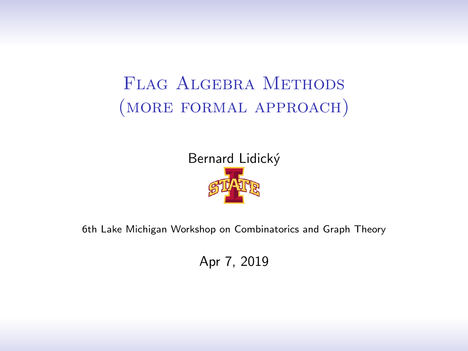# <span id="page-0-0"></span>FLAG ALGEBRA METHODS (more formal approach)



6th Lake Michigan Workshop on Combinatorics and Graph Theory

Apr 7, 2019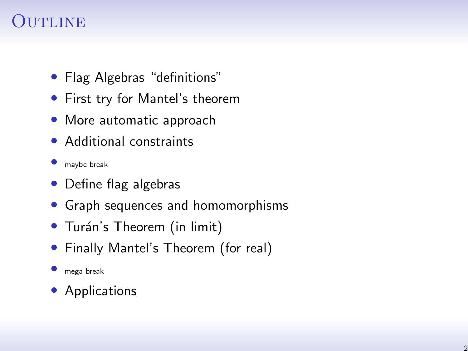# UTLINE

- Flag Algebras "definitions"
- First try for Mantel's theorem
- More automatic approach
- Additional constraints
- maybe break
- Define flag algebras
- Graph sequences and homomorphisms
- Turán's Theorem (in limit)
- Finally Mantel's Theorem (for real)
- mega break
- Applications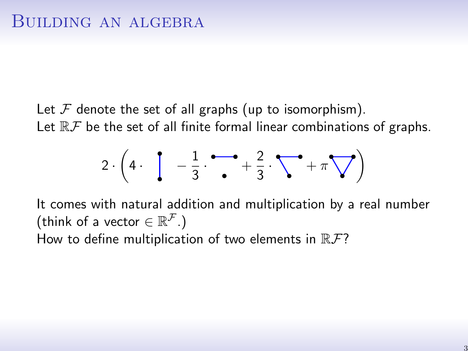Let  $\mathcal F$  denote the set of all graphs (up to isomorphism). Let  $\mathbb{R} \mathcal{F}$  be the set of all finite formal linear combinations of graphs.

$$
2 \cdot \left(4 \cdot \left(1 - \frac{1}{3} \cdot \frac{1}{\cdot \cdot \cdot} + \frac{2}{3} \cdot \sum_{n=1}^{\infty} \cdot \pi \cdot \frac{1}{n} \right)\right)
$$

It comes with natural addition and multiplication by a real number (think of a vector  $\in \mathbb{R}^{\mathcal{F}}$ .) How to define multiplication of two elements in  $\mathbb{R} \mathcal{F}$ ?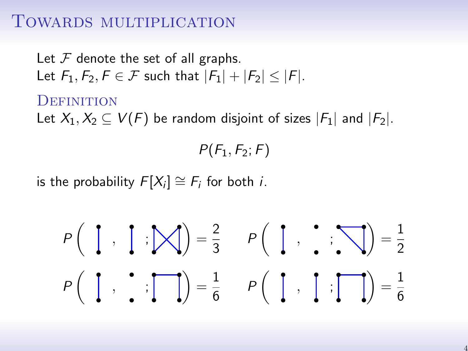#### TOWARDS MULTIPLICATION

Let  $F$  denote the set of all graphs. Let  $F_1, F_2, F \in \mathcal{F}$  such that  $|F_1| + |F_2| < |F|$ .

#### **DEFINITION**

Let  $X_1, X_2 \subseteq V(F)$  be random disjoint of sizes  $|F_1|$  and  $|F_2|$ .

 $P(F_1, F_2; F)$ 

is the probability  $F[X_i] \cong F_i$  for both *i*.

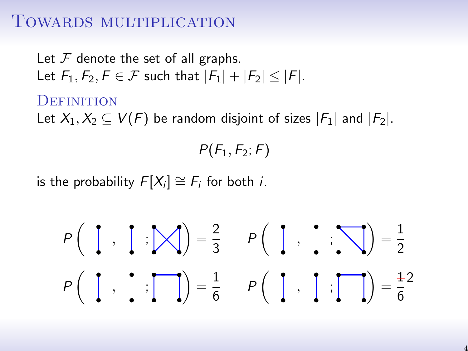#### TOWARDS MULTIPLICATION

Let  $F$  denote the set of all graphs. Let  $F_1, F_2, F \in \mathcal{F}$  such that  $|F_1| + |F_2| < |F|$ .

#### **DEFINITION**

Let  $X_1, X_2 \subseteq V(F)$  be random disjoint of sizes  $|F_1|$  and  $|F_2|$ .

 $P(F_1, F_2; F)$ 

is the probability  $F[X_i] \cong F_i$  for both *i*.

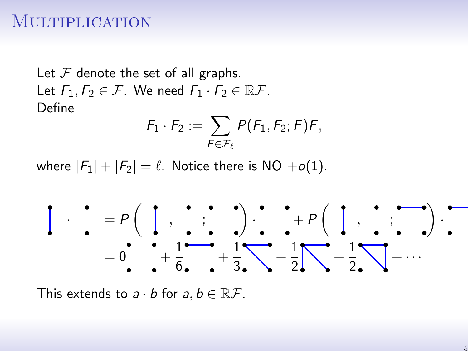#### **MULTIPLICATION**

Let  $F$  denote the set of all graphs. Let  $F_1, F_2 \in \mathcal{F}$ . We need  $F_1 \cdot F_2 \in \mathbb{R} \mathcal{F}$ . Define

$$
F_1 \cdot F_2 := \sum_{F \in \mathcal{F}_{\ell}} P(F_1, F_2; F) F,
$$

where  $|F_1| + |F_2| = \ell$ . Notice there is NO +o(1).



This extends to  $a \cdot b$  for  $a, b \in \mathbb{R} \mathcal{F}$ .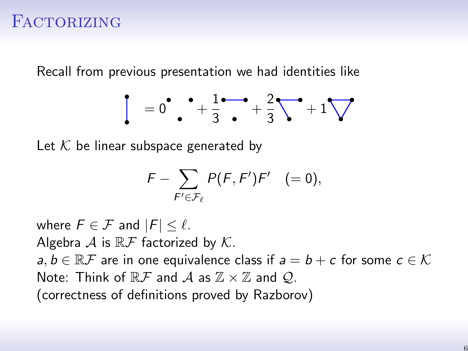## FACTORIZING

Recall from previous presentation we had identities like

$$
\begin{bmatrix} = 0 \quad \bullet \quad +\frac{1}{3} \quad +\frac{2}{3} \quad +\frac{2}{3} \quad +\frac{1}{3} \end{bmatrix}
$$

Let  $K$  be linear subspace generated by

$$
F - \sum_{F' \in \mathcal{F}_{\ell}} P(F, F')F' \quad (= 0),
$$

where  $F \in \mathcal{F}$  and  $|F| \leq \ell$ . Algebra  $A$  is  $\mathbb{R} \mathcal{F}$  factorized by  $K$ .  $a, b \in \mathbb{R}$  are in one equivalence class if  $a = b + c$  for some  $c \in \mathcal{K}$ Note: Think of  $\mathbb{R} \mathcal{F}$  and  $\mathcal{A}$  as  $\mathbb{Z} \times \mathbb{Z}$  and  $\mathcal{Q}$ . (correctness of definitions proved by Razborov)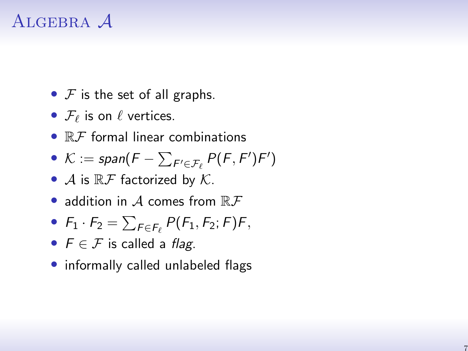# ALGEBRA A

- $F$  is the set of all graphs.
- $\mathcal{F}_\ell$  is on  $\ell$  vertices.
- $\bullet$   $\mathbb{R}$  *F* formal linear combinations

• 
$$
\mathcal{K} := \text{span}(F - \sum_{F' \in \mathcal{F}_{\ell}} P(F, F')F')
$$

- A is  $\mathbb{R} \mathcal{F}$  factorized by  $\mathcal{K}$ .
- addition in  $A$  comes from  $\mathbb{R} \mathcal{F}$

• 
$$
F_1 \cdot F_2 = \sum_{F \in F_{\ell}} P(F_1, F_2; F) F,
$$

- $F \in \mathcal{F}$  is called a flag.
- informally called unlabeled flags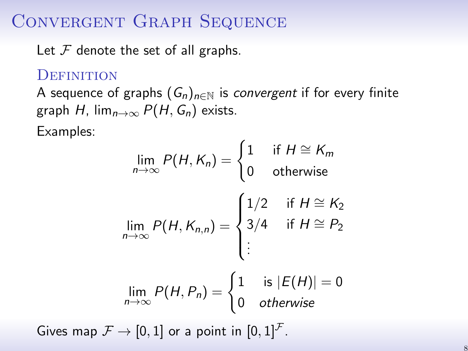# Convergent Graph Sequence

Let  $F$  denote the set of all graphs.

#### **DEFINITION**

A sequence of graphs  $(G_n)_{n\in\mathbb{N}}$  is *convergent* if for every finite graph H,  $\lim_{n\to\infty} P(H, G_n)$  exists.

Examples:

$$
\lim_{n \to \infty} P(H, K_n) = \begin{cases} 1 & \text{if } H \cong K_m \\ 0 & \text{otherwise} \end{cases}
$$

$$
\lim_{n \to \infty} P(H, K_{n,n}) = \begin{cases} 1/2 & \text{if } H \cong K_2 \\ 3/4 & \text{if } H \cong P_2 \\ \vdots & \end{cases}
$$

$$
\lim_{n \to \infty} P(H, P_n) = \begin{cases} 1 & \text{is } |E(H)| = 0 \\ 0 & \text{otherwise} \end{cases}
$$

Gives map  $\mathcal{F} \rightarrow [0, 1]$  or a point in  $[0, 1]^{\mathcal{F}}$ .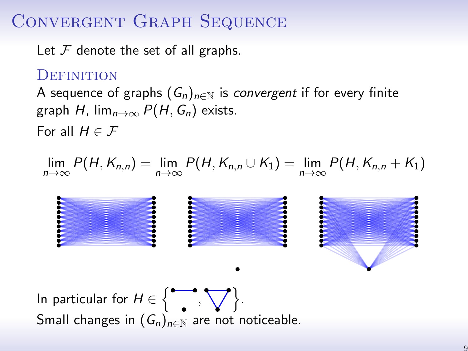# Convergent Graph Sequence

Let  $F$  denote the set of all graphs.

#### **DEFINITION**

A sequence of graphs  $(G_n)_{n\in\mathbb{N}}$  is convergent if for every finite graph H,  $\lim_{n\to\infty} P(H, G_n)$  exists.

For all  $H \in \mathcal{F}$ 

$$
\lim_{n\to\infty} P(H, K_{n,n}) = \lim_{n\to\infty} P(H, K_{n,n} \cup K_1) = \lim_{n\to\infty} P(H, K_{n,n} + K_1)
$$

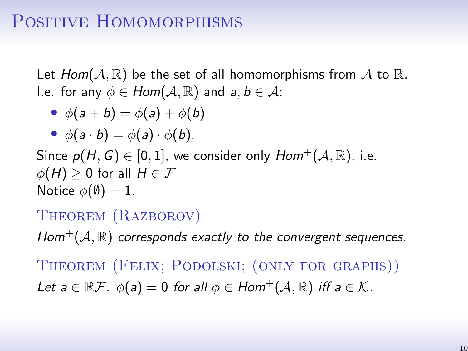## POSITIVE HOMOMORPHISMS

Let  $Hom(A, \mathbb{R})$  be the set of all homomorphisms from A to  $\mathbb{R}$ . I.e. for any  $\phi \in Hom(\mathcal{A}, \mathbb{R})$  and  $a, b \in \mathcal{A}$ :

• 
$$
\phi(a+b) = \phi(a) + \phi(b)
$$

• 
$$
\phi(a \cdot b) = \phi(a) \cdot \phi(b)
$$
.

Since  $p(H, G) \in [0, 1]$ , we consider only  $Hom^+(\mathcal{A}, \mathbb{R})$ , i.e.  $\phi(H) \geq 0$  for all  $H \in \mathcal{F}$ Notice  $\phi(\emptyset) = 1$ .

#### THEOREM (RAZBOROV)

 $Hom^+(\mathcal{A}, \mathbb{R})$  corresponds exactly to the convergent sequences.

Theorem (Felix; Podolski; (only for graphs)) Let  $a \in \mathbb{R}$ .  $\phi(a) = 0$  for all  $\phi \in Hom^+(\mathcal{A}, \mathbb{R})$  iff  $a \in \mathcal{K}$ .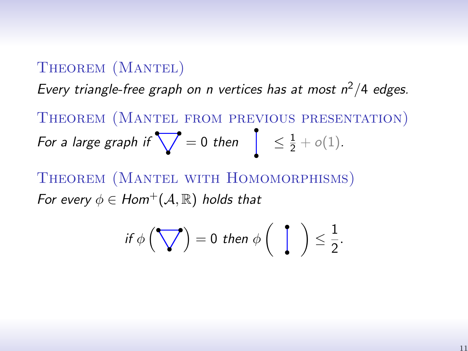#### THEOREM (MANTEL)

Every triangle-free graph on n vertices has at most  $n^2/4$  edges.

Theorem (Mantel from previous presentation) For a large graph if  $\bigvee = 0$  then  $\left[ \begin{array}{cc} \leq \frac{1}{2} + o(1). \end{array} \right]$ 

Theorem (Mantel with Homomorphisms) For every  $\phi \in Hom^+(\mathcal{A}, \mathbb{R})$  holds that

$$
\text{ if } \phi\left(\bigvee\right) = 0 \text{ then } \phi\left(\begin{array}{c} \end{array}\right) \leq \frac{1}{2}.
$$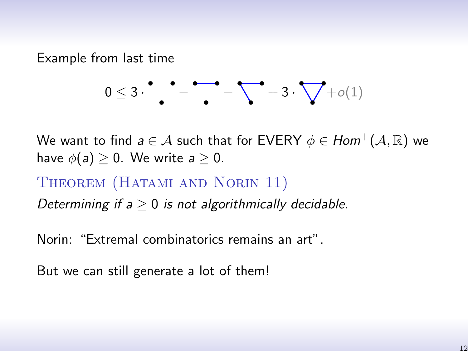Example from last time

$$
0\leq 3\cdot \overset{\bullet}{\bullet} \overset{\bullet}{\bullet} \overset{\bullet}{\bullet} \overset{\bullet}{\bullet} \overset{\bullet}{\bullet} \overset{\bullet}{\bullet} \overset{\bullet}{\bullet} \overset{\bullet}{\bullet} \overset{\bullet}{\bullet} \overset{\bullet}{\bullet} \overset{\bullet}{\bullet} \overset{\bullet}{\bullet} \overset{\bullet}{\bullet} \overset{\bullet}{\bullet} \overset{\bullet}{\bullet} \overset{\bullet}{\bullet} \overset{\bullet}{\bullet} \overset{\bullet}{\bullet} \overset{\bullet}{\bullet} \overset{\bullet}{\bullet} \overset{\bullet}{\bullet} \overset{\bullet}{\bullet} \overset{\bullet}{\bullet} \overset{\bullet}{\bullet} \overset{\bullet}{\bullet} \overset{\bullet}{\bullet} \overset{\bullet}{\bullet} \overset{\bullet}{\bullet} \overset{\bullet}{\bullet} \overset{\bullet}{\bullet} \overset{\bullet}{\bullet} \overset{\bullet}{\bullet} \overset{\bullet}{\bullet} \overset{\bullet}{\bullet} \overset{\bullet}{\bullet} \overset{\bullet}{\bullet} \overset{\bullet}{\bullet} \overset{\bullet}{\bullet} \overset{\bullet}{\bullet} \overset{\bullet}{\bullet} \overset{\bullet}{\bullet} \overset{\bullet}{\bullet} \overset{\bullet}{\bullet} \overset{\bullet}{\bullet} \overset{\bullet}{\bullet} \overset{\bullet}{\bullet} \overset{\bullet}{\bullet} \overset{\bullet}{\bullet} \overset{\bullet}{\bullet} \overset{\bullet}{\bullet} \overset{\bullet}{\bullet} \overset{\bullet}{\bullet} \overset{\bullet}{\bullet} \overset{\bullet}{\bullet} \overset{\bullet}{\bullet} \overset{\bullet}{\bullet} \overset{\bullet}{\bullet} \overset{\bullet}{\bullet} \overset{\bullet}{\bullet} \overset{\bullet}{\bullet} \overset{\bullet}{\bullet} \overset{\bullet}{\bullet} \overset{\bullet}{\bullet} \overset{\bullet}{\bullet} \overset{\bullet}{\bullet} \overset{\bullet}{\bullet} \overset{\bullet}{\bullet} \overset{\bullet}{\bullet} \overset{\bullet}{\bullet} \overset{\bullet}{\bullet} \overset{\bullet}{\bullet} \overset{\bullet}{\bullet} \overset{\bullet}{\bullet} \overset{\bullet}{\bullet} \overset{\bullet}{\bullet} \overset{\bullet}{\bullet} \overset{\bullet}{\bullet} \overset{\bullet}{\bullet} \overset{\bullet}{\bullet} \overset{\bullet}{\bullet} \overset{\bullet}{\bullet} \overset{\bullet}{\bullet} \overset{\bullet}{\bullet} \overset{\
$$

We want to find  $a \in \mathcal{A}$  such that for EVERY  $\phi \in Hom^+(\mathcal{A}, \mathbb{R})$  we have  $\phi(a) > 0$ . We write  $a > 0$ .

#### THEOREM (HATAMI AND NORIN 11)

Determining if  $a \geq 0$  is not algorithmically decidable.

Norin: "Extremal combinatorics remains an art".

But we can still generate a lot of them!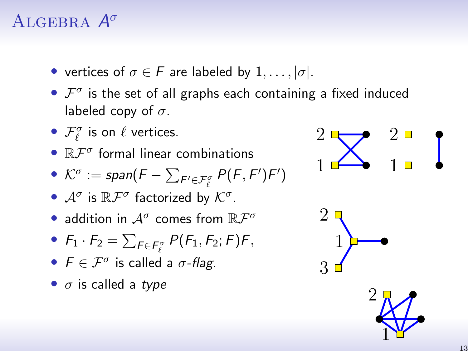# ALGEBRA  $A^{\sigma}$

- vertices of  $\sigma \in F$  are labeled by  $1, \ldots, |\sigma|$ .
- $\mathcal{F}^{\sigma}$  is the set of all graphs each containing a fixed induced labeled copy of  $\sigma$ .
- $\mathcal{F}_{\ell}^{\sigma}$  is on  $\ell$  vertices.
- $\mathbb{R} \mathcal{F}^{\sigma}$  formal linear combinations
- $\mathcal{K}^{\sigma} := \text{span}(F \sum_{F' \in \mathcal{F}_{\ell}^{\sigma}} P(F, F')F')$
- $\mathcal{A}^{\sigma}$  is  $\mathbb{R}\mathcal{F}^{\sigma}$  factorized by  $\mathcal{K}^{\sigma}$ .
- $\bullet$  addition in  $\mathcal{A}^\sigma$  comes from  $\mathbb{R}\mathcal{F}^\sigma$
- $F_1 \cdot F_2 = \sum_{F \in F_{\ell}^{\sigma}} P(F_1, F_2; F) F$
- $F \in \mathcal{F}^{\sigma}$  is called a  $\sigma$ -flag.
- $\sigma$  is called a type



[1](#page-0-0)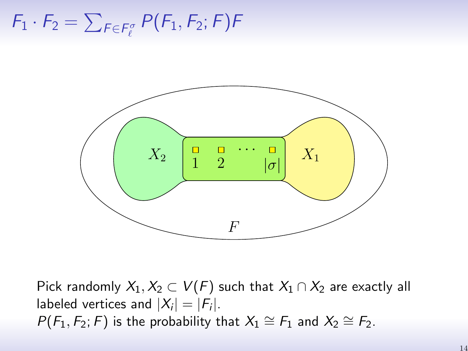<span id="page-14-0"></span> $\mathcal{F}_1 \cdot \mathcal{F}_2 = \sum_{F \in \mathcal{F}_\ell^\sigma} P(F_1, F_2; F) F$ 



Pick randomly  $X_1, X_2 \subset V(F)$  such that  $X_1 \cap X_2$  are exactly all labeled vertices and  $|X_i| = |F_i|$ .  $P(F_1, F_2; F)$  is the probability that  $X_1 \cong F_1$  and  $X_2 \cong F_2$ .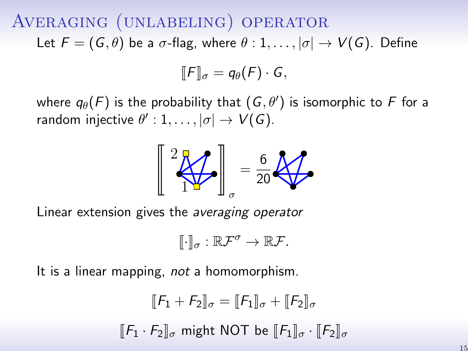<span id="page-15-0"></span>Averaging (unlabeling) operator Let  $F = (G, \theta)$  be a  $\sigma$ -flag, where  $\theta : 1, \ldots, |\sigma| \rightarrow V(G)$ . Define

$$
\llbracket F \rrbracket_{\sigma} = q_{\theta}(F) \cdot G,
$$

where  $q_{\theta}(F)$  is the probability that  $(\mathit{G}, \theta')$  is isomorphic to  $F$  for a random injective  $\theta': 1, \ldots, |\sigma| \to V(G).$ 



Linear extension gives the averaging operator

$$
[\![\cdot]\!]_{\sigma}:\mathbb{R}\mathcal{F}^{\sigma}\to\mathbb{R}\mathcal{F}.
$$

It is a linear mapping, *not* a homomorphism.

$$
\llbracket F_1 + F_2 \rrbracket_{\sigma} = \llbracket F_1 \rrbracket_{\sigma} + \llbracket F_2 \rrbracket_{\sigma}
$$

$$
\llbracket F_1 \cdot F_2 \rrbracket_{\sigma} \text{ might NOT be } \llbracket F_1 \rrbracket_{\sigma} \cdot \llbracket F_2 \rrbracket_{\sigma}
$$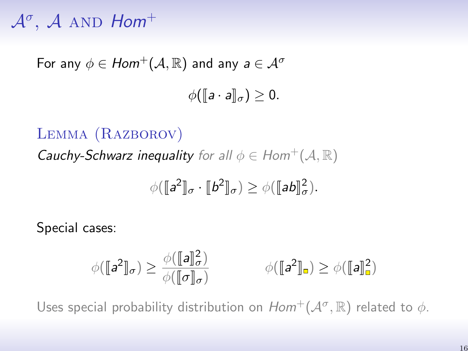# <span id="page-16-0"></span> $\mathcal{A}^{\sigma}$ ,  $\mathcal{A}$  and  $\mathcal{H}$

For any  $\phi \in Hom^+(\mathcal{A}, \mathbb{R})$  and any  $a \in \mathcal{A}^{\sigma}$ 

$$
\phi([\![a\cdot a]\!]_{\sigma})\geq 0.
$$

#### Lemma (Razborov)

**Cauchy-Schwarz inequality** for all  $\phi \in Hom^+(\mathcal{A}, \mathbb{R})$ 

$$
\phi([\![a^2]\!]_\sigma \cdot [\![b^2]\!]_\sigma) \geq \phi([\![ab]\!]_\sigma^2).
$$

Special cases:

$$
\phi(\llbracket a^2 \rrbracket_{\sigma}) \ge \frac{\phi(\llbracket a \rrbracket_{\sigma}^2)}{\phi(\llbracket \sigma \rrbracket_{\sigma})} \qquad \phi(\llbracket a^2 \rrbracket_{\mathbf{a}}) \ge \phi(\llbracket a \rrbracket_{\mathbf{a}}^2)
$$

Uses special probability distribution on  $Hom^+(\mathcal{A}^\sigma,\mathbb{R})$  related to  $\phi$ .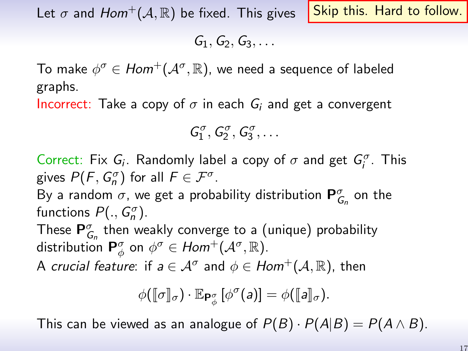Let  $\sigma$  and  $Hom^+(\mathcal{A}, \mathbb{R})$  be fixed. This gives

Skip this. Hard to follow.

 $G_1, G_2, G_3, \ldots$ 

To make  $\phi^{\sigma} \in Hom^+(\mathcal{A}^{\sigma}, \mathbb{R})$ , we need a sequence of labeled graphs.

Incorrect: Take a copy of  $\sigma$  in each  $G_i$  and get a convergent

$$
\mathcal{G}_1^{\sigma}, \mathcal{G}_2^{\sigma}, \mathcal{G}_3^{\sigma}, \ldots
$$

Correct: Fix  $G_i$ . Randomly label a copy of  $\sigma$  and get  $G_i^{\sigma}$ . This gives  $P(F, G_n^{\sigma})$  for all  $F \in \mathcal{F}^{\sigma}$ .

By a random  $\sigma$ , we get a probability distribution  ${\bf P}^{\sigma}_{G_n}$  on the functions  $P(., G_n^{\sigma}).$ 

These  ${\sf P}^{\sigma}_{G_n}$  then weakly converge to a (unique) probability distribution  $\mathsf{P}^{\sigma}_{\phi}$  on  $\phi^{\sigma} \in Hom^{+}(\mathcal{A}^{\sigma}, \mathbb{R})$ .

A *crucial feature*: if  $a \in \mathcal{A}^{\sigma}$  and  $\phi \in Hom^+(\mathcal{A}, \mathbb{R})$ , then

$$
\phi([\![\sigma]\!]_{\sigma})\cdot \mathbb{E}_{\mathsf{P}_{\phi}^{\sigma}}[\phi^{\sigma}(a)]=\phi([\![a]\!]_{\sigma}).
$$

This can be viewed as an analogue of  $P(B) \cdot P(A|B) = P(A \wedge B)$ .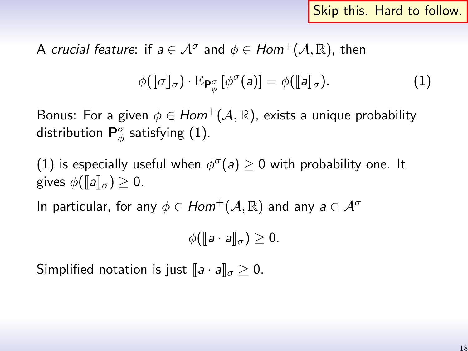Skip this. Hard to follow.

A crucial feature: if  $a \in \mathcal{A}^{\sigma}$  and  $\phi \in Hom^{+}(\mathcal{A}, \mathbb{R})$ , then

<span id="page-18-0"></span>
$$
\phi([\![\sigma]\!]_{\sigma}) \cdot \mathbb{E}_{\mathsf{P}_{\phi}^{\sigma}}[\phi^{\sigma}(a)] = \phi([\![a]\!]_{\sigma}). \tag{1}
$$

Bonus: For a given  $\phi \in Hom^+(\mathcal{A}, \mathbb{R})$ , exists a unique probability distribution  $\mathsf{P}^\sigma_\phi$  satisfying [\(1\)](#page-18-0).

[\(1\)](#page-18-0) is especially useful when  $\phi^{\sigma}(a) \ge 0$  with probability one. It gives  $\phi(\llbracket a \rrbracket_{\sigma}) > 0$ .

In particular, for any  $\phi \in Hom^+(\mathcal{A}, \mathbb{R})$  and any  $a \in \mathcal{A}^{\sigma}$ 

$$
\phi([\![a\cdot a]\!]_{\sigma})\geq 0.
$$

Simplified notation is just  $[a \cdot a]_{\sigma} > 0$ .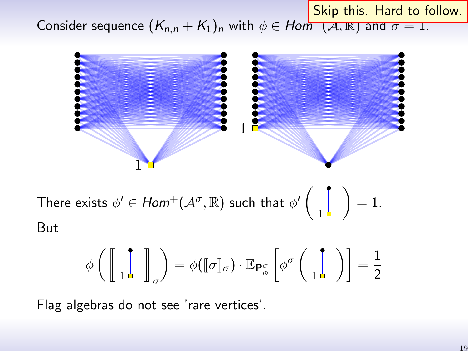Skip this. Hard to follow.

Consider sequence  $(K_{n,n} + K_1)_n$  with  $\phi \in Hom^+(A, \mathbb{R})$  and  $\sigma = 1$ .



There exists  $\phi'\in\mathit{Hom}^+(\mathcal{A}^\sigma,\mathbb{R})$  such that  $\phi'\bigg($ 1  $\Big) = 1.$ But

$$
\phi\left(\left[\!\left[\begin{array}{c} \cdot \\ 1 \end{array}\!\right] \right]_{\sigma}\right) = \phi(\llbracket \sigma \rrbracket_{\sigma}) \cdot \mathbb{E}_{\mathsf{P}^{\sigma}_{\phi}}\left[\phi^{\sigma}\left(\begin{array}{c} \cdot \\ 1 \end{array}\right)\right] = \frac{1}{2}
$$

Flag algebras do not see 'rare vertices'.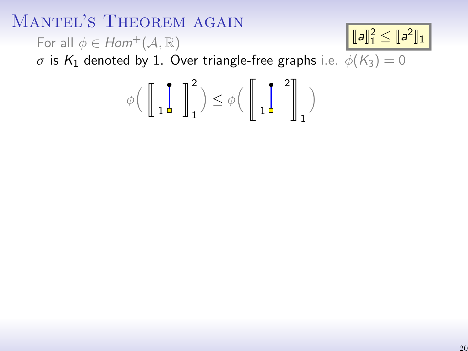## MANTEL'S THEOREM AGAIN

For all  $\phi \in Hom^+(\mathcal{A}, \mathbb{R})$ 

 $[\![a]\!]_1^2 \leq [\![a^2]\!]_1$ 

σ is  $K_1$  denoted by 1. Over triangle-free graphs i.e.  $\phi(K_3) = 0$ 

$$
\phi\Big(\left[\!\left[\begin{array}{cc} \cdot \\ 1 \end{array}\!\right] \!\right]_1^2\Big) \leq \phi\Big(\left[\!\left[\begin{array}{cc} \cdot \\ 1 \end{array}\!\right] \!\right]_1^2\Big)
$$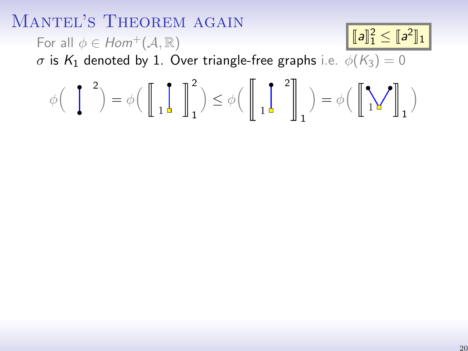#### MANTEL'S THEOREM AGAIN For all  $\phi \in Hom^+(\mathcal{A}, \mathbb{R})$ σ is K<sub>1</sub> denoted by 1. Over triangle-free graphs i.e.  $\phi(K_3) = 0$  $\phi\left(\begin{array}{c} 1 \\ 1 \end{array}\right)^2 = \phi\left(\begin{array}{c} 1 \\ 1 \end{array}\right)$  ${\mathbb R}^2$  $\Big) \leq \phi \Big( \ \Big\|$  $^2$   $\parallel$  $\Big) = \phi \Big( \ \Big[$ 1  $\setminus$  $[\![a]\!]_1^2 \leq [\![a^2]\!]_1$

1

1

1

1

1

1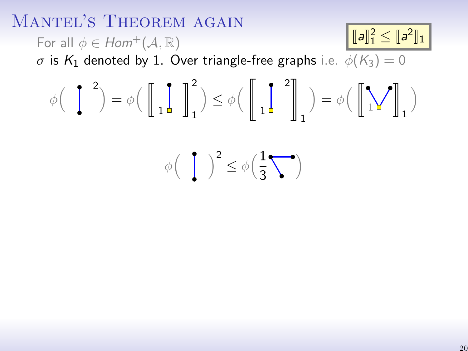#### MANTEL'S THEOREM AGAIN For all  $\phi \in Hom^+(\mathcal{A}, \mathbb{R})$  $\sigma$  is  $K_1$  denoted by 1. Over triangle-free graphs i.e.  $\phi(K_3) = 0$  $\phi\left(\begin{array}{c} 1 \\ 1 \end{array}\right)^2 = \phi\left(\begin{array}{c} 1 \\ 1 \end{array}\right)$ 1  ${\mathbb R}^2$ 1  $\Big) \leq \phi \Big( \ \Big\|$ 1  $^2$   $\parallel$ 1  $\Big) = \phi \Big( \ \Big[$ 1 1 1  $\setminus$  $\phi\left(\begin{array}{c} \end{array}\right)^2 \leq \phi\left(\frac{1}{3}\right)$ 3  $\setminus$  $[\![a]\!]_1^2 \leq [\![a^2]\!]_1$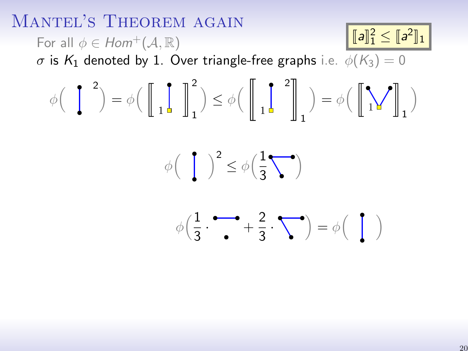MANTEL'S THEOREM AGAIN For all  $\phi \in Hom^+(\mathcal{A}, \mathbb{R})$  $\sigma$  is  $K_1$  denoted by 1. Over triangle-free graphs i.e.  $\phi(K_3) = 0$  $\phi\left(\begin{array}{c} 1 \\ 1 \end{array}\right)^2 = \phi\left(\begin{array}{c} 1 \\ 1 \end{array}\right)$ 1  ${\mathbb R}^2$ 1  $\Big) \leq \phi \Big( \ \Big\|$ 1  $^2$   $\parallel$ 1  $\Big) = \phi \Big( \ \Big[$ 1 1 1  $\setminus$  $\phi\left(\begin{array}{c} \end{array}\right)^2 \leq \phi\left(\frac{1}{3}\right)$ 3  $\setminus$  $\phi\left(\frac{1}{2}\right)$  $\frac{1}{3} \cdot \rightarrow +\frac{2}{3}$  $\frac{2}{3} \cdot \sum$  =  $\phi \begin{pmatrix} \end{pmatrix}$  $[\![a]\!]_1^2 \leq [\![a^2]\!]_1$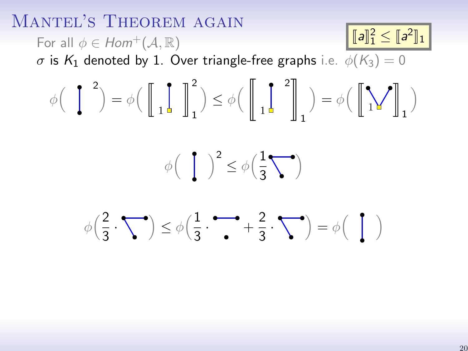MANTEL'S THEOREM AGAIN For all  $\phi \in Hom^+(\mathcal{A}, \mathbb{R})$  $\sigma$  is  $K_1$  denoted by 1. Over triangle-free graphs i.e.  $\phi(K_3) = 0$  $\phi\left(\begin{array}{c} 1 \\ 1 \end{array}\right)^2 = \phi\left(\begin{array}{c} 1 \\ 1 \end{array}\right)$ 1  ${\mathbb R}^2$ 1  $\Big) \leq \phi \Big( \ \Big\|$ 1  $^2$   $\parallel$ 1  $\Big) = \phi \Big( \ \Big[$ 1 1 1  $\setminus$  $\phi\left(\begin{array}{c} \end{array}\right)^2 \leq \phi\left(\frac{1}{3}\right)$ 3  $\setminus$  $\phi\left(\frac{2}{2}\right)$  $\left(\frac{2}{3}\cdot\sum\right)\leq\phi\left(\frac{1}{3}\right)$  $\frac{1}{3} \cdot \rightarrow +\frac{2}{3}$  $\frac{2}{3} \cdot \sum$  =  $\phi \begin{pmatrix} \end{pmatrix}$  $[\![a]\!]_1^2 \leq [\![a^2]\!]_1$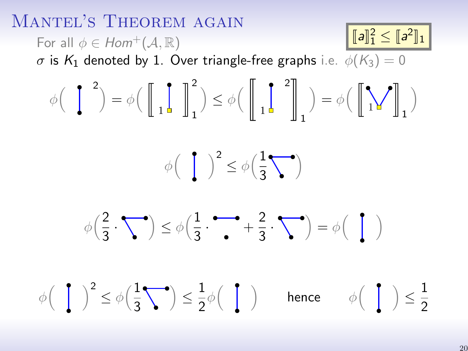

20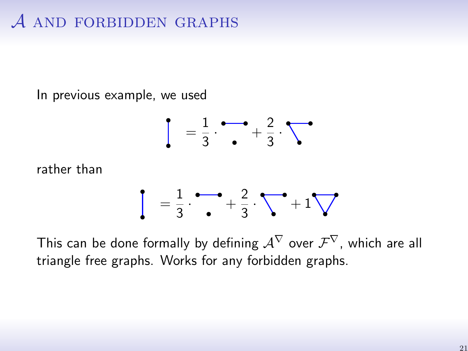# $A$  and forbidden graphs

In previous example, we used

$$
\frac{1}{3} \cdot \frac{1}{2} + \frac{2}{3} \cdot \sqrt{2}
$$

rather than

$$
\frac{1}{3} \cdot \frac{1}{2} + \frac{2}{3} \cdot \sqrt{1 + 1} \sqrt{1 + 1}
$$

This can be done formally by defining  $\mathcal{A}^{\nabla}$  over  $\mathcal{F}^{\nabla}$ , which are all triangle free graphs. Works for any forbidden graphs.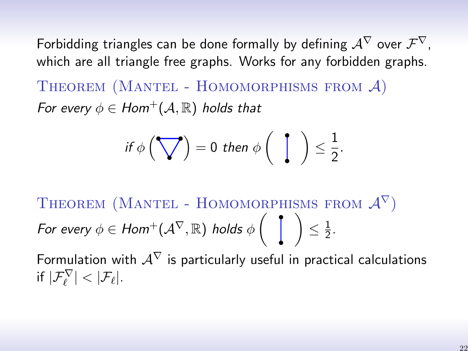Forbidding triangles can be done formally by defining  $\mathcal{A}^{\nabla}$  over  $\mathcal{F}^{\nabla}$ , which are all triangle free graphs. Works for any forbidden graphs. THEOREM (MANTEL - HOMOMORPHISMS FROM  $A$ )

For every  $\phi \in Hom^+(\mathcal{A}, \mathbb{R})$  holds that

$$
\text{ if } \phi\left(\bigvee\hspace{-0.2em}\bigvee\hspace{-0.2em}\big)\,=\,0\,\text{ then }\phi\left(\begin{array}{c}\hspace{-0.2em}\bigwedge\hspace{-0.2em}\bigwedge\hspace{-0.2em}\bigwedge\hspace{-0.2em}\bigwedge\hspace{-0.2em}\bigwedge\hspace{-0.2em}\bigwedge\hspace{-0.2em}\bigwedge\hspace{-0.2em}\bigwedge\hspace{-0.2em}\bigwedge\hspace{-0.2em}\bigwedge\hspace{-0.2em}\bigwedge\hspace{-0.2em}\bigwedge\hspace{-0.2em}\bigwedge\hspace{-0.2em}\bigwedge\hspace{-0.2em}\bigwedge\hspace{-0.2em}\bigwedge\hspace{-0.2em}\bigwedge\hspace{-0.2em}\bigwedge\hspace{-0.2em}\bigwedge\hspace{-0.2em}\bigwedge\hspace{-0.2em}\bigwedge\hspace{-0.2em}\bigwedge\hspace{-0.2em}\bigwedge\hspace{-0.2em}\bigwedge\hspace{-0.2em}\bigwedge\hspace{-0.2em}\bigwedge\hspace{-0.2em}\bigwedge\hspace{-0.2em}\bigwedge\hspace{-0.2em}\bigwedge\hspace{-0.2em}\bigwedge\hspace{-0.2em}\bigwedge\hspace{-0.2em}\bigwedge\hspace{-0.2em}\bigwedge\hspace{-0.2em}\bigwedge\hspace{-0.2em}\bigwedge\hspace{-0.2em}\bigwedge\hspace{-0.2em}\bigwedge\hspace{-0.2em}\bigwedge\hspace{-0.2em}\bigwedge\hspace{-0.2em}\bigwedge\hspace{-0.2em}\bigwedge\hspace{-0.2em}\bigwedge\hspace{-0.2em}\bigwedge\hspace{-0.2em}\bigwedge\hspace{-0.2em}\bigwedge\hspace{-0.2em}\bigwedge\hspace{-0.2em}\bigwedge\hspace{-0.2em}\bigwedge\hspace{-0.2em}\bigwedge\hspace{-0.2em}\bigwedge\hspace{-0.2em}\bigwedge\hspace{-0.2em}\bigwedge\hspace{-0.2em}\bigwedge\hspace{-0.2em}\bigwedge\hspace{-0.2em}\bigwedge\hspace{-0.2em}\bigwcap\hspace{-0.2em}\bigwedge\hspace{-0.2em}\bigwedge\hspace{-0.2em}\
$$

THEOREM (MANTEL - HOMOMORPHISMS FROM  $\mathcal{A}^{\nabla}$ ) For every  $\phi \in \mathcal{H}\mathsf{om}^+(\mathcal{A}^\nabla,\mathbb{R})$  holds  $\phi\left(\begin{array}{c} \bullet \end{array}\right)$  $\leq \frac{1}{2}$  $rac{1}{2}$ .

Formulation with  $A^{\nabla}$  is particularly useful in practical calculations if  $|\mathcal{F}_\ell^{\nabla}| < |\mathcal{F}_\ell|.$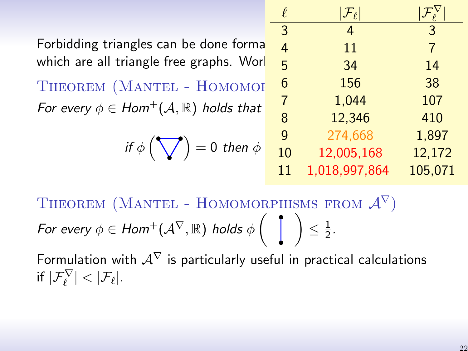| f. | $\mathcal{F}_{\ell}$ |         |
|----|----------------------|---------|
| 3  | 4                    | 3       |
| 4  | 11                   | 7       |
| 5  | 34                   | 14      |
| 6  | 156                  | 38      |
| 7  | 1,044                | 107     |
| 8  | 12,346               | 410     |
| g  | 274,668              | 1,897   |
| 10 | 12,005,168           | 12,172  |
| 11 | 1,018,997,864        | 105,071 |

Forbidding triangles can be done forma which are all triangle free graphs. Wor

THEOREM (MANTEL - HOMOMOP For every  $\phi \in Hom^+(\mathcal{A}, \mathbb{R})$  holds that

$$
if \phi\left(\bigvee\right) = 0 then \phi
$$

THEOREM (MANTEL - HOMOMORPHISMS FROM  $\mathcal{A}^{\nabla}$ ) For every  $\phi \in \mathcal{H}\mathsf{om}^+(\mathcal{A}^\nabla,\mathbb{R})$  holds  $\phi\left(\begin{array}{c} \bullet \end{array}\right)$  $\leq \frac{1}{2}$  $rac{1}{2}$ .

Formulation with  $A^{\nabla}$  is particularly useful in practical calculations if  $|\mathcal{F}_\ell^{\nabla}| < |\mathcal{F}_\ell|.$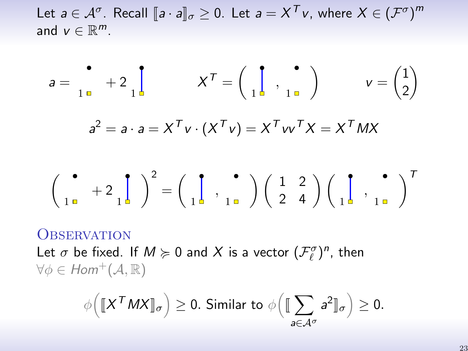Let  $a \in \mathcal{A}^{\sigma}$ . Recall  $[\![a \cdot a ]\!]_{\sigma} \geq 0$ . Let  $a = X^{\mathcal{T}}v$ , where  $X \in (\mathcal{F}^{\sigma})^m$ and  $v \in \mathbb{R}^m$ .

$$
a = \begin{bmatrix} 1 \\ 1 \end{bmatrix} + 2 \begin{bmatrix} 1 \\ 1 \end{bmatrix} + X^T = \begin{bmatrix} 1 \\ 1 \end{bmatrix}, \begin{bmatrix} 1 \\ 1 \end{bmatrix} + Y = \begin{bmatrix} 1 \\ 2 \end{bmatrix}
$$

$$
a^2 = a \cdot a = X^T v \cdot (X^T v) = X^T v v^T X = X^T M X
$$

$$
\left(\begin{array}{cc} \bullet & & \\ 1 \text{ m} & & \end{array} + 2 \begin{array}{c} \end{array} \right) \begin{array}{c} \bullet \\ \bullet \\ \end{array} = \left(\begin{array}{c} \end{array} \right) \begin{array}{c} \bullet \\ \bullet \\ \end{array} \begin{array}{c} \bullet \\ \bullet \\ \end{array} \right) \left(\begin{array}{cc} \bullet & & \\ 2 \text{ m} & 4 \end{array}\right) \left(\begin{array}{c} \bullet & & \\ \bullet \\ \end{array} \right) \begin{array}{c} \bullet \\ \bullet \\ \end{array} \right)^T
$$

#### **OBSERVATION**

Let  $\sigma$  be fixed. If  $M \succcurlyeq 0$  and X is a vector  $(\mathcal{F}_\ell^{\sigma})^n$ , then  $\forall \phi \in Hom^+(\mathcal{A}, \mathbb{R})$ 

$$
\phi\Big(\llbracket X^{\mathsf{T}} M X \rrbracket_{\sigma}\Big) \geq 0. \text{ Similar to } \phi\Big(\llbracket \sum_{a \in \mathcal{A}^{\sigma}} a^2 \rrbracket_{\sigma}\Big) \geq 0.
$$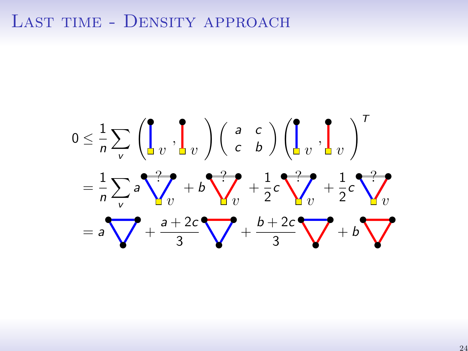#### LAST TIME - DENSITY APPROACH

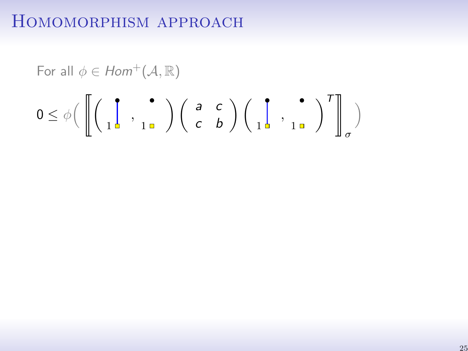For all 
$$
\phi \in Hom^+(\mathcal{A}, \mathbb{R})
$$
  
\n $0 \leq \phi \left( \left[ \left( \begin{array}{ccc} 0 & \cdot & \cdot \\ 0 & 1 \end{array} \right) \left( \begin{array}{cc} a & c \ c & b \end{array} \right) \left( \begin{array}{ccc} 0 & \cdot & \cdot \\ 0 & 1 \end{array} \right)^T \right]_{\sigma}$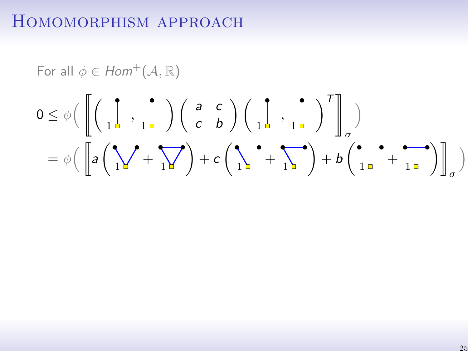For all 
$$
\phi \in Hom^+(\mathcal{A}, \mathbb{R})
$$
  
\n
$$
0 \leq \phi \Big( \left[ \left( \begin{array}{ccc} 1 & \cdot & \cdot \\ 1 & 1 & \cdot \end{array} \right) \left( \begin{array}{ccc} a & c \cdot & \cdot \\ c & b \end{array} \right) \left( \begin{array}{ccc} 1 & \cdot & \cdot \\ 1 & 1 & \cdot \end{array} \right)^T \right]_{\sigma}
$$
\n
$$
= \phi \Big( \left[ a \left( \begin{array}{ccc} \cdot & \cdot & \cdot & \cdot \\ 1 & \cdot & 1 & \cdot \end{array} \right) + c \left( \begin{array}{ccc} \cdot & \cdot & \cdot & \cdot & \cdot \\ 1 & \cdot & 1 & \cdot \end{array} \right) + b \left( \begin{array}{ccc} \cdot & \cdot & \cdot & \cdot & \cdot \\ 1 & \cdot & \cdot & 1 & \cdot \end{array} \right) \right]_{\sigma} \Big)
$$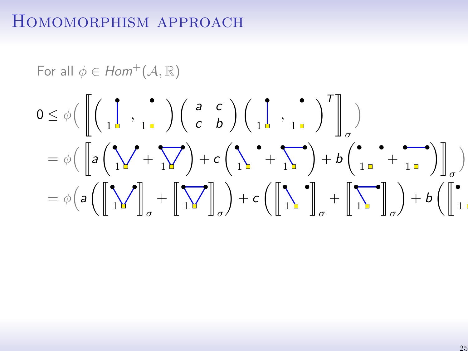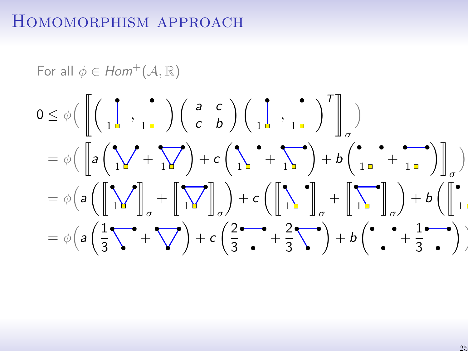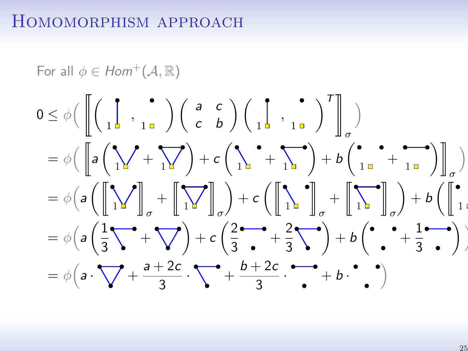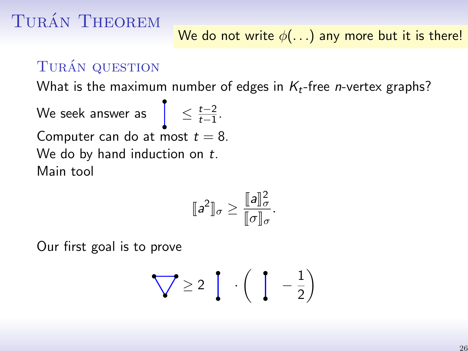#### TURÁN QUESTION

What is the maximum number of edges in  $K_t$ -free *n*-vertex graphs?

We seek answer as  $\left.\begin{matrix}\end{matrix}\right| \leq \frac{t-2}{t-1}$  $\frac{t-2}{t-1}$ . Computer can do at most  $t = 8$ . We do by hand induction on  $t$ . Main tool

$$
[\![a^2]\!]_{\sigma} \geq \frac{[\![a]\!]_{\sigma}^2}{[\![\sigma]\!]_{\sigma}}.
$$

Our first goal is to prove

$$
\bigvee \geq 2 \left[ \begin{array}{c} \cdot \left( \begin{array}{c} 1 & -\frac{1}{2} \end{array} \right) \end{array} \right]
$$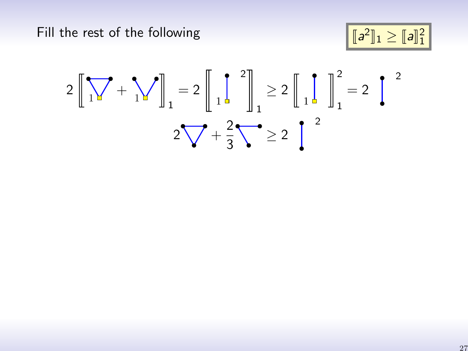Fill the rest of the following

$$
\boxed{[\![a^2]\!]_1 \geq [\![a]\!]_1^2}
$$

$$
2\left[\left[\sqrt{1+1}\sqrt{1+1}\right]_1\right]_1 = 2\left[\left[\frac{1}{1-1}\right]_1\right]_1 \ge 2\left[\left[\frac{1}{1-1}\right]_1\right]_1^2 = 2\left[\frac{1}{1-1}\right]_1^2
$$

$$
2\sqrt{1+ \frac{2}{3}} \ge 2\left[\frac{1}{1-1}\right]_1^2
$$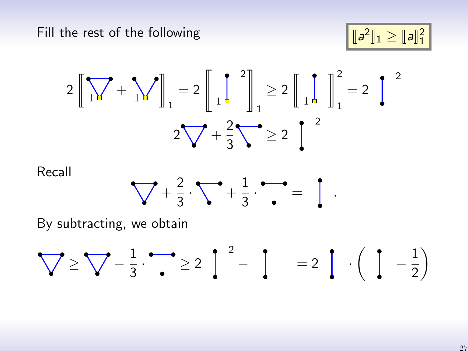Fill the rest of the following

$$
\boxed{[\![a^2]\!]_1 \geq [\![a]\!]_1^2}
$$

$$
2\left[\left[\sqrt{1+1}\sqrt{1+1}\right]_1\right]_1 = 2\left[\left[\frac{1}{1-1}\right]_1\right]_1 \ge 2\left[\left[\frac{1}{1-1}\right]_1\right]_1^2 = 2\left[\frac{1}{1-1}\right]_1^2
$$

$$
2\sqrt{1+ \frac{2}{3}} \ge 2\left[\frac{1}{1-1}\right]_1^2
$$

Recall



By subtracting, we obtain

$$
\bigvee \geq \bigvee -\frac{1}{3} \cdot \bigwedge = 2 \left[ \begin{array}{c} 2 \\ - \end{array} \right] = 2 \left[ \begin{array}{c} 2 \\ - \end{array} \right] - \left[ \begin{array}{c} 2 \\ - \end{array} \right]
$$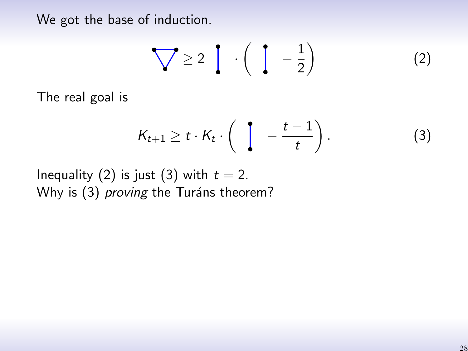We got the base of induction.

<span id="page-39-0"></span>
$$
\bigvee \geq 2 \left[ \begin{array}{c} \cdot \left( \begin{array}{c} 1 & -\frac{1}{2} \end{array} \right) \end{array} \right] \tag{2}
$$

The real goal is

<span id="page-39-1"></span>
$$
K_{t+1} \geq t \cdot K_t \cdot \left( \int -\frac{t-1}{t} \right). \tag{3}
$$

Inequality [\(2\)](#page-39-0) is just [\(3\)](#page-39-1) with  $t = 2$ . Why is [\(3\)](#page-39-1) proving the Turáns theorem?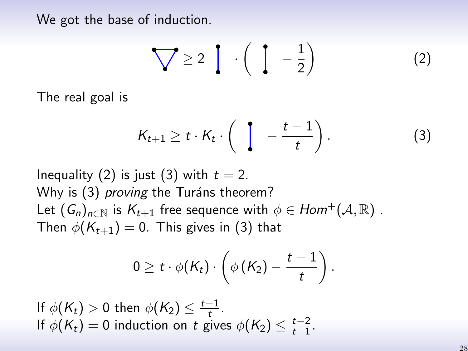We got the base of induction.

$$
\bigvee \geq 2 \left[ \begin{array}{c} \cdot \left( \begin{array}{c} 1 & -\frac{1}{2} \end{array} \right) \end{array} \right] \tag{2}
$$

The real goal is

$$
K_{t+1} \geq t \cdot K_t \cdot \left( \int_{0}^{t} -\frac{t-1}{t} \right). \tag{3}
$$

Inequality [\(2\)](#page-39-0) is just [\(3\)](#page-39-1) with  $t = 2$ . Why is [\(3\)](#page-39-1) *proving* the Turáns theorem? Let  $(G_n)_{n\in\mathbb{N}}$  is  $K_{t+1}$  free sequence with  $\phi \in Hom^+(\mathcal{A}, \mathbb{R})$ . Then  $\phi(K_{t+1}) = 0$ . This gives in [\(3\)](#page-39-1) that

$$
0 \geq t \cdot \phi(K_t) \cdot \left(\phi\left(K_2\right) - \frac{t-1}{t}\right).
$$

If  $\phi(K_t) > 0$  then  $\phi(K_2) \leq \frac{t-1}{t}$  $\frac{-1}{t}$ . If  $\phi(K_t) = 0$  induction on t gives  $\phi(K_2) \leq \frac{t-2}{t-1}$  $\frac{t-2}{t-1}$ .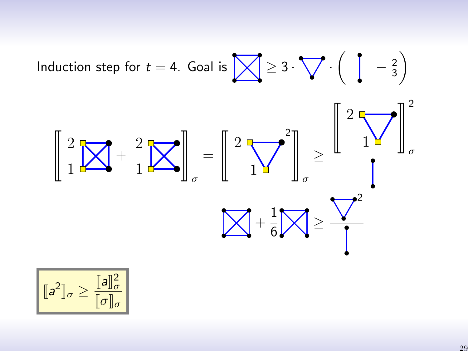Induction step for 
$$
t = 4
$$
. Goal is  $\sqrt{2} \ge 3 \cdot \sqrt{1} \cdot (\sqrt{1 - \frac{2}{3}})$   

$$
\left[ \frac{2}{1} \sqrt{1 + \frac{2}{1}} \right]_{\sigma} = \left[ \frac{2}{1} \sqrt{1 + \frac{2}{1}} \right]_{\sigma} \ge \frac{\left[ \frac{2}{1} \sqrt{1 + \frac{2}{1}} \right]_{\sigma}^{2}}{\sqrt{1 + \frac{2}{1}} \sqrt{1 + \frac{2}{1}} \sqrt{1 + \frac{2}{1}}}
$$

$$
\boxed{[\![a^2]\!]_\sigma \geq \frac{[\![a]\!]_\sigma^2}{[\![\sigma]\!]_\sigma}}
$$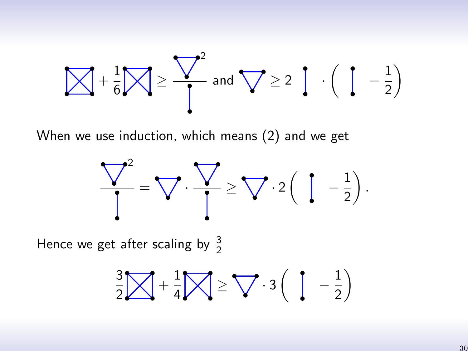$$
\bigvee + \frac{1}{6} \bigvee \geq \bigvee = \frac{\bigvee^{2}}{1} \text{ and } \bigvee \geq 2 \bigcup \cdot \left( \bigcup -\frac{1}{2} \right)
$$

When we use induction, which means [\(2\)](#page-39-0) and we get



Hence we get after scaling by  $\frac{3}{2}$ 

$$
\frac{3}{2} \times \frac{1}{4} \times \frac{1}{4} \times \frac{1}{4} \times \frac{3}{4} \left( \begin{array}{cc} 1 & -\frac{1}{2} \end{array} \right)
$$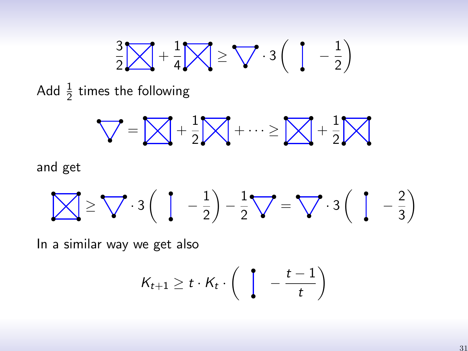$$
\frac{3}{2} \cancel{\bigotimes} + \frac{1}{4} \cancel{\bigotimes} \geq \bigvee \cdot 3 \left( \begin{array}{cc} 1 & -\frac{1}{2} \end{array} \right)
$$

Add  $\frac{1}{2}$  times the following

$$
\bigvee = \bigotimes + \frac{1}{2} \bigotimes + \dots \ge \bigotimes + \frac{1}{2} \bigotimes
$$

and get

$$
\bigotimes \geq \bigvee \cdot 3\left(\begin{array}{cc} 1 & -\frac{1}{2} \end{array}\right) - \frac{1}{2} \bigvee = \bigvee \cdot 3\left(\begin{array}{cc} 1 & -\frac{2}{3} \end{array}\right)
$$

In a similar way we get also

$$
K_{t+1} \geq t \cdot K_t \cdot \left( \begin{array}{c} t - t - 1 \\ t \end{array} \right)
$$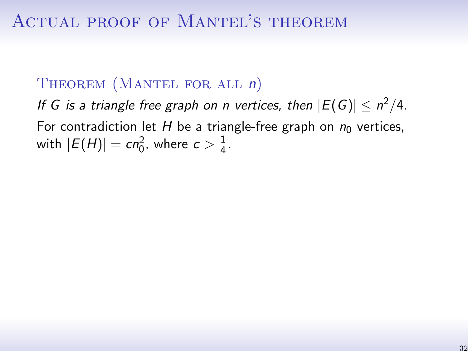#### THEOREM (MANTEL FOR ALL n)

If G is a triangle free graph on n vertices, then  $|E(G)| \leq n^2/4$ . For contradiction let H be a triangle-free graph on  $n_0$  vertices, with  $|E(H)| = cn_0^2$ , where  $c > \frac{1}{4}$  $\frac{1}{4}$ .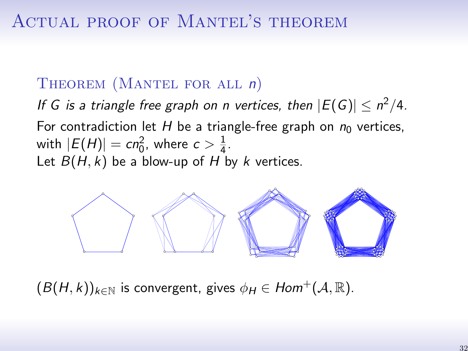#### THEOREM (MANTEL FOR ALL n)

If G is a triangle free graph on n vertices, then  $|E(G)| \leq n^2/4$ . For contradiction let H be a triangle-free graph on  $n_0$  vertices, with  $|E(H)| = cn_0^2$ , where  $c > \frac{1}{4}$  $\frac{1}{4}$ . Let  $B(H, k)$  be a blow-up of H by k vertices.



 $(B(H, k))_{k \in \mathbb{N}}$  is convergent, gives  $\phi_H \in Hom^+(\mathcal{A}, \mathbb{R})$ .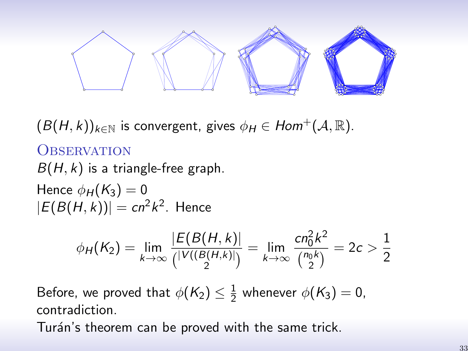

 $(B(H, k))_{k \in \mathbb{N}}$  is convergent, gives  $\phi_H \in Hom^+(\mathcal{A}, \mathbb{R})$ .

#### **OBSERVATION**  $B(H, k)$  is a triangle-free graph.

Hence  $\phi_H(K_3) = 0$  $|E(B(H,k))| = cn^2k^2$ . Hence

$$
\phi_H(K_2) = \lim_{k \to \infty} \frac{|E(B(H, k))|}{\binom{|V((B(H, k))|}{2}} = \lim_{k \to \infty} \frac{cn_0^2 k^2}{\binom{n_0 k}{2}} = 2c > \frac{1}{2}
$$

Before, we proved that  $\phi(K_2) \leq \frac{1}{2}$  $\frac{1}{2}$  whenever  $\phi(K_3)=0$ , contradiction.

Turán's theorem can be proved with the same trick.